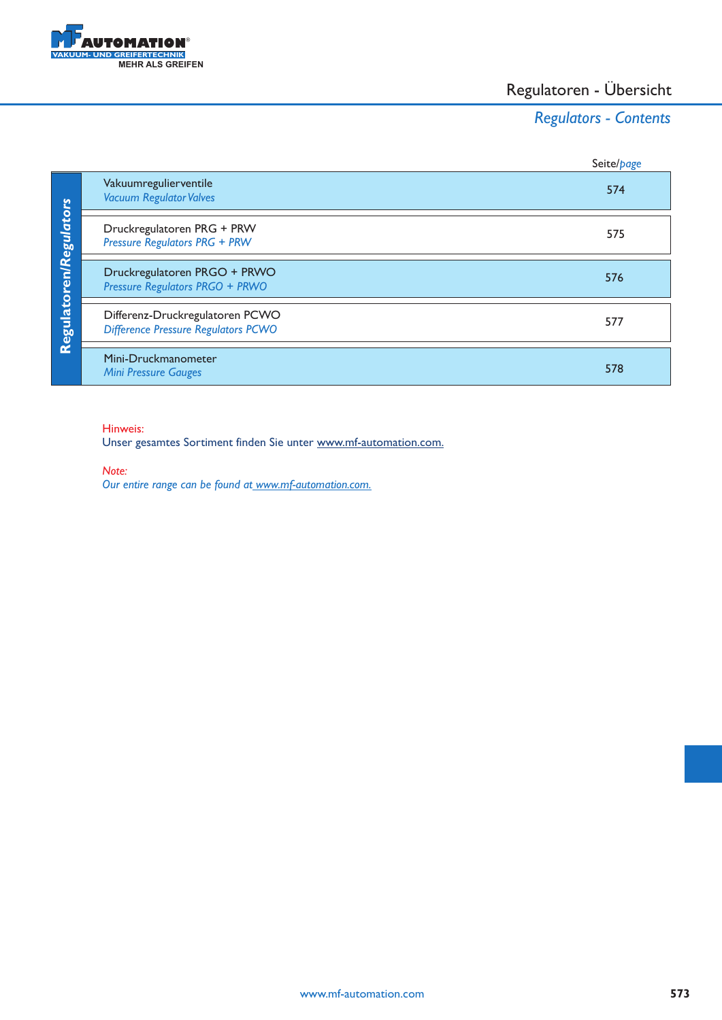

# Regulatoren - Übersicht

# *Regulators - Contents*

|                        |                                                                               | Seite/page |
|------------------------|-------------------------------------------------------------------------------|------------|
|                        | Vakuumregulierventile<br><b>Vacuum Regulator Valves</b>                       | 574        |
|                        | Druckregulatoren PRG + PRW<br><b>Pressure Regulators PRG + PRW</b>            | 575        |
|                        | Druckregulatoren PRGO + PRWO<br><b>Pressure Regulators PRGO + PRWO</b>        | 576        |
| Regulatoren/Regulators | Differenz-Druckregulatoren PCWO<br><b>Difference Pressure Regulators PCWO</b> | 577        |
|                        | Mini-Druckmanometer<br><b>Mini Pressure Gauges</b>                            | 578        |

### Hinweis:

Unser gesamtes Sortiment finden Sie unter www.mf-automation.com.

*Note:*

*Our entire range can be found at www.mf-automation.com.*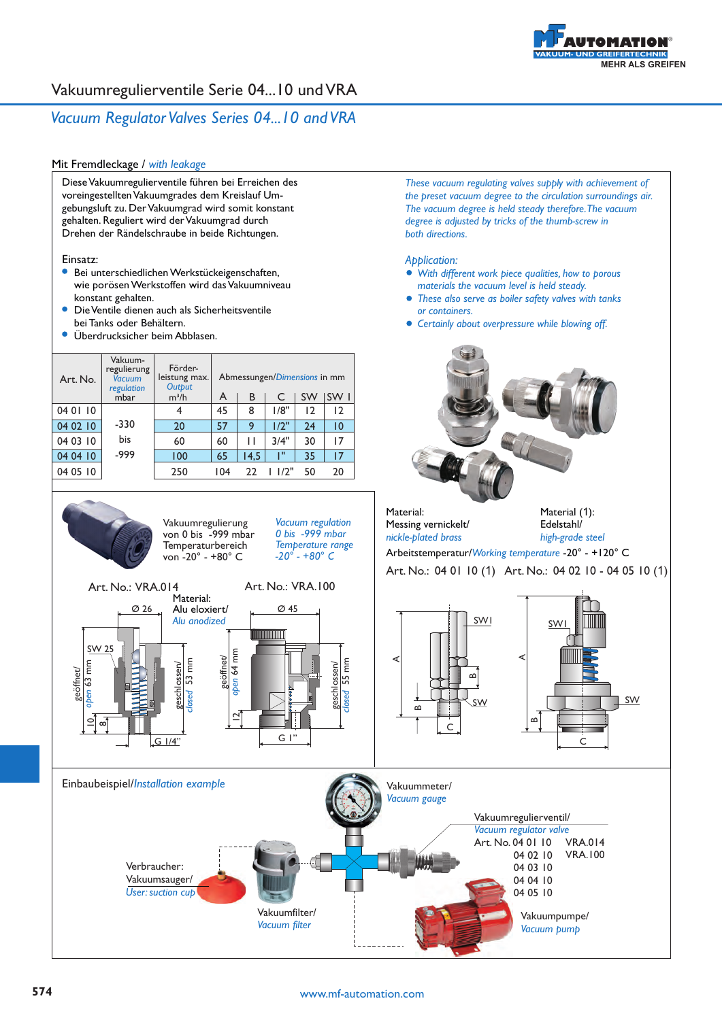

### *Vacuum Regulator Valves Series 04...10 and VRA*

### Mit Fremdleckage / *with leakage*

Diese Vakuumregulierventile führen bei Erreichen des voreingestellten Vakuumgrades dem Kreislauf Umgebungsluft zu. Der Vakuumgrad wird somit konstant gehalten. Reguliert wird der Vakuumgrad durch Drehen der Rändelschraube in beide Richtungen.

#### Einsatz:

- Bei unterschiedlichen Werkstückeigenschaften, wie porösen Werkstoffen wird das Vakuumniveau konstant gehalten.
- Die Ventile dienen auch als Sicherheitsventile bei Tanks oder Behältern.
- Überdrucksicher beim Abblasen.

| Vakuum-<br>regulierung<br>Vacuum<br>Art. No.<br>regulation |        | Förder-<br>leistung max.<br>Output |     |      | Abmessungen/Dimensions in mm |                |                 |
|------------------------------------------------------------|--------|------------------------------------|-----|------|------------------------------|----------------|-----------------|
|                                                            | mbar   | $m^3/h$                            | A   | В    |                              | <b>SW</b>      | SW I            |
| 04 01 10                                                   |        | 4                                  | 45  | 8    | 1/8"                         | $\overline{2}$ | $\overline{2}$  |
| 04 02 10                                                   | $-330$ | 20                                 | 57  | 9    | 1/2"                         | 24             | $\overline{10}$ |
| 04 03 10                                                   | bis    | 60                                 | 60  | Н    | 3/4"                         | 30             | 17              |
| 04 04 10                                                   | -999   | 100                                | 65  | 14.5 | T.                           | 35             | 17              |
| 04 05 10                                                   |        | 250                                | 104 | 22   | 11/2"                        | 50             | 20              |
|                                                            |        |                                    |     |      |                              |                |                 |

Vakuumregulierung von 0 bis -999 mbar **Temperaturbereich** von -20° - +80° C

*These vacuum regulating valves supply with achievement of the preset vacuum degree to the circulation surroundings air. The vacuum degree is held steady therefore. The vacuum degree is adjusted by tricks of the thumb-screw in both directions.*

#### *Application:*

- *With different work piece qualities, how to porous materials the vacuum level is held steady.*
- *These also serve as boiler safety valves with tanks or containers.*
- *Certainly about overpressure while blowing off.*



Material: Messing vernickelt/ *nickle-plated brass* 



Arbeitstemperatur/*Working temperature* -20° - +120° C

Art. No.: 04 01 10 (1) Art. No.: 04 02 10 - 04 05 10 (1)



*Vacuum regulation 0 bis -999 mbar Temperature range -20° - +80° C*

### **574** www.mf-automation.com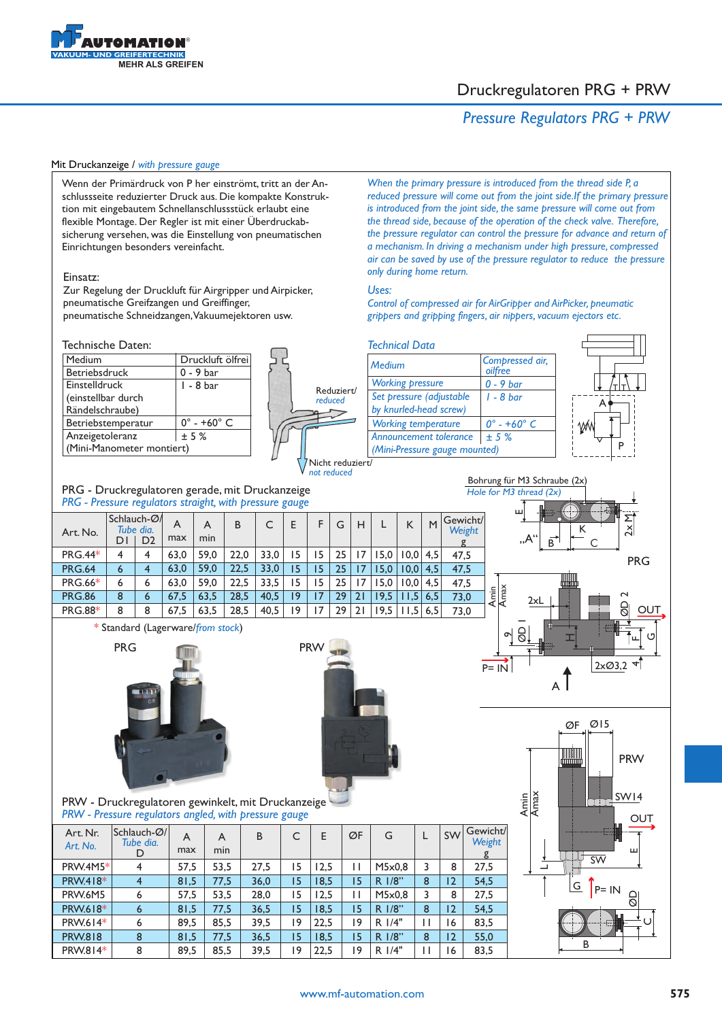

### Druckregulatoren PRG + PRW

### *Pressure Regulators PRG + PRW*



 $\mathord{\text{\rm C}}$ 

G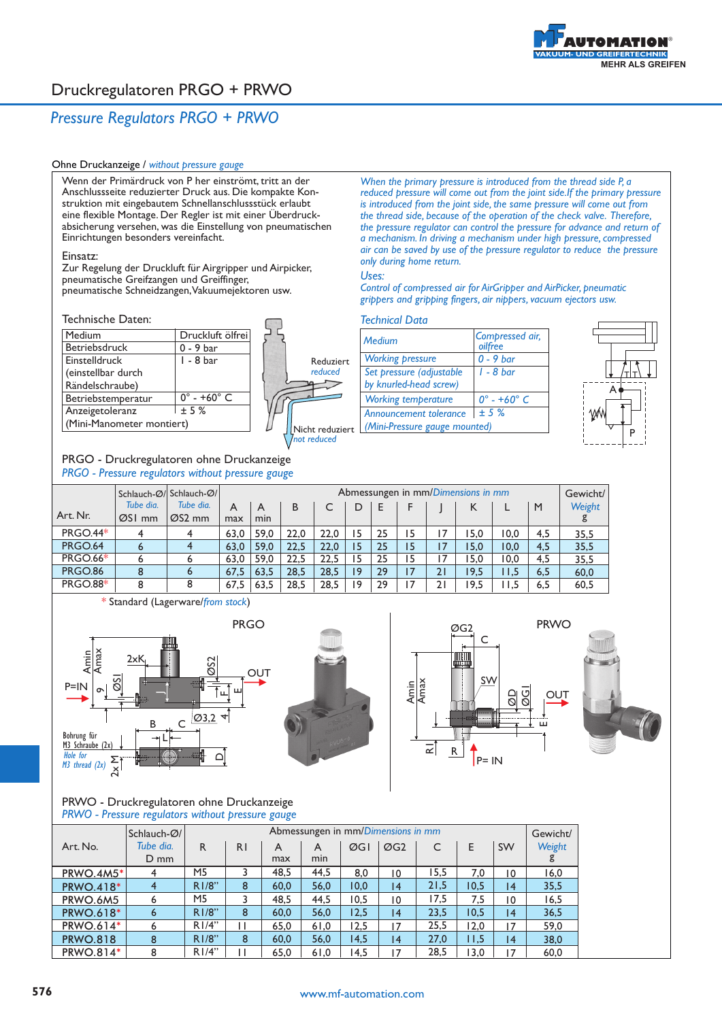

## Druckregulatoren PRGO + PRWO

### *Pressure Regulators PRGO + PRWO*

### Ohne Druckanzeige / *without pressure gauge*

Wenn der Primärdruck von P her einströmt, tritt an der Anschlussseite reduzierter Druck aus. Die kompakte Konstruktion mit eingebautem Schnellanschlussstück erlaubt eine flexible Montage. Der Regler ist mit einer Überdruckabsicherung versehen, was die Einstellung von pneumatischen Einrichtungen besonders vereinfacht.

#### Einsatz:

Zur Regelung der Druckluft für Airgripper und Airpicker, pneumatische Greifzangen und Greiffinger, pneumatische Schneidzangen, Vakuumejektoren usw.

#### Technische Daten:

| Medium                    | Druckluft ölfrei               |
|---------------------------|--------------------------------|
| Betriebsdruck             | $0 - 9$ bar                    |
| <b>Einstelldruck</b>      | 1 - 8 bar                      |
| (einstellbar durch        |                                |
| Rändelschraube)           |                                |
| Betriebstemperatur        | $0^{\circ}$ - +60 $^{\circ}$ C |
| Anzeigetoleranz           | $+5%$                          |
| (Mini-Manometer montiert) |                                |



#### PRGO - Druckregulatoren ohne Druckanzeige *PRGO - Pressure regulators without pressure gauge*

*is introduced from the joint side, the same pressure will come out from the thread side, because of the operation of the check valve. Therefore, the pressure regulator can control the pressure for advance and return of a mechanism. In driving a mechanism under high pressure, compressed air can be saved by use of the pressure regulator to reduce the pressure only during home return. Uses: Control of compressed air for AirGripper and AirPicker, pneumatic grippers and gripping fingers, air nippers, vacuum ejectors usw.*

*When the primary pressure is introduced from the thread side P, a reduced pressure will come out from the joint side.If the primary pressure*

#### *Technical Data*

| <b>Medium</b>                                                  | Compressed air,<br>oilfree     |
|----------------------------------------------------------------|--------------------------------|
| <b>Working pressure</b>                                        | $0 - 9$ bar                    |
| Set pressure (adjustable<br>by knurled-head screw)             | $1 - 8$ bar                    |
| <b>Working temperature</b>                                     | $0^{\circ}$ - +60 $^{\circ}$ C |
| <b>Announcement tolerance</b><br>(Mini-Pressure gauge mounted) | $+5%$                          |



|                 |                     | Schlauch-Ø/ Schlauch-Ø/          |          | Abmessungen in mm/Dimensions in mm |      |      |    |    |                 |    |      |       | Gewicht/ |        |
|-----------------|---------------------|----------------------------------|----------|------------------------------------|------|------|----|----|-----------------|----|------|-------|----------|--------|
| Art. Nr.        | Tube dia.<br>ØSI mm | Tube dia.<br>$\varnothing$ S2 mm | A<br>max | A<br>min                           | B    |      |    | E  |                 |    | к    |       | M        | Weight |
| <b>PRGO.44*</b> |                     | 4                                | 63.0     | 59.0                               | 22.0 | 22.0 | 15 | 25 | 5               |    | 5.0، | 10.0  | 4,5      | 35,5   |
| <b>PRGO.64</b>  |                     | 4                                | 63,0     | 59.0                               | 22.5 | 22.0 | 15 | 25 | 15              | 17 | 15,0 | 10.0  | 4,5      | 35,5   |
| <b>PRGO.66*</b> |                     | 6                                | 63.0     | 59.0                               | 22.5 | 22.5 | 15 | 25 | 5               |    | 5.0  | 10.0  | 4.5      | 35.5   |
| <b>PRGO.86</b>  | 8                   | 6                                | 67.5     | 63.5                               | 28.5 | 28.5 | 19 | 29 | $\overline{17}$ | 21 | 19.5 | 11.5  | 6.5      | 60,0   |
| <b>PRGO.88*</b> | 8                   | 8                                | 67.5     | 63.5                               | 28,5 | 28.5 | ۱9 | 29 | 7               | 21 | '9.5 | l I.5 | 6,5      | 60,5   |

\* Standard (Lagerware/ ) *from stock*









PRWO - Druckregulatoren ohne Druckanzeige *PRWO - Pressure regulators without pressure gauge*

| Schlauch-Ø/      |                |                |                |      |      |      | Abmessungen in mm/Dimensions in mm |      |      |                 |        |  |
|------------------|----------------|----------------|----------------|------|------|------|------------------------------------|------|------|-----------------|--------|--|
| Art. No.         | Tube dia.      | R.             | R <sub>1</sub> | A    | A    | ØGI  | $\varnothing$ G2                   | C    | F    | <b>SW</b>       | Weight |  |
|                  | $D$ mm         |                |                | max  | min  |      |                                    |      |      |                 | g      |  |
| PRWO.4M5*        | 4              | M5             |                | 48.5 | 44.5 | 8.0  | $\overline{10}$                    | 15,5 | 7,0  | $\overline{10}$ | 16,0   |  |
| <b>PRWO.418*</b> | $\overline{4}$ | R1/8"          | 8              | 60.0 | 56,0 | 10,0 | 4                                  | 21,5 | 10.5 | 4               | 35,5   |  |
| PRWO.6M5         | 6              | M <sub>5</sub> |                | 48.5 | 44.5 | 10.5 | $\overline{10}$                    | 17.5 | 7,5  | 10              | 16,5   |  |
| <b>PRWO.618*</b> | 6              | R1/8"          | 8              | 60.0 | 56,0 | 12,5 | 4                                  | 23.5 | 10.5 | 4               | 36,5   |  |
| <b>PRWO.614*</b> | 6              | R1/4"          | Ш              | 65.0 | 61,0 | 12,5 | 17                                 | 25.5 | 12.0 | 17              | 59.0   |  |
| <b>PRWO.818</b>  | 8              | R1/8"          | 8              | 60.0 | 56.0 | 14.5 | 14                                 | 27.0 | 11.5 | $\overline{14}$ | 38.0   |  |
| <b>PRWO.814*</b> | 8              | R1/4"          | Ш              | 65.0 | 61,0 | 14,5 | $\overline{7}$                     | 28,5 | 13,0 |                 | 60.0   |  |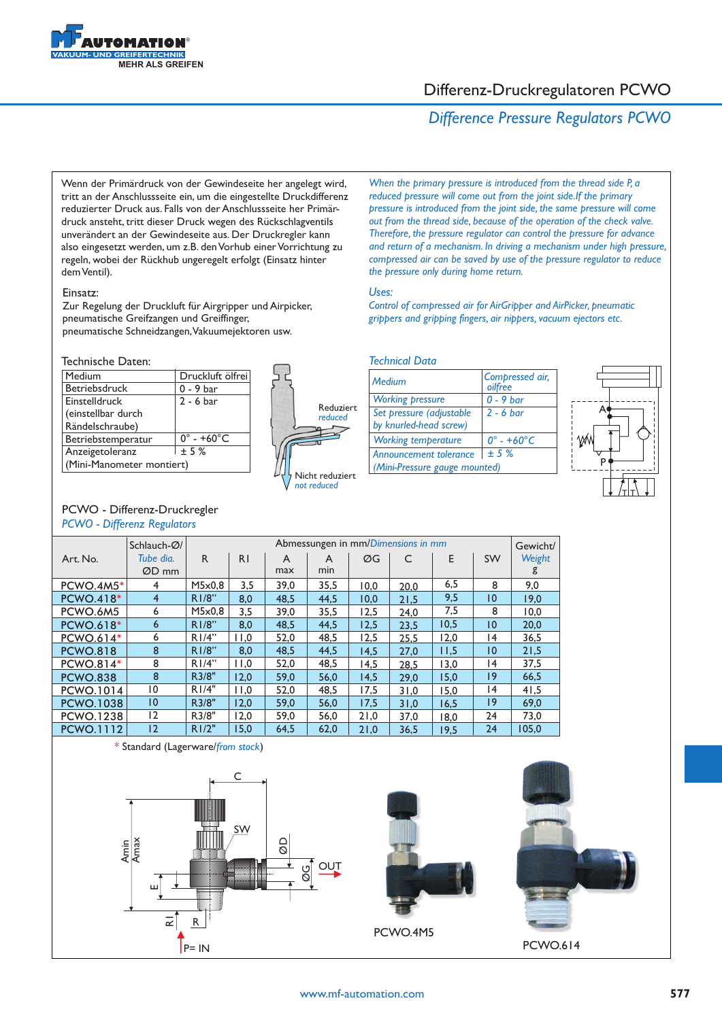

### Differenz-Druckregulatoren PCWO

## *Difference Pressure Regulators PCWO*

Wenn der Primärdruck von der Gewindeseite her angelegt wird, tritt an der Anschlussseite ein, um die eingestellte Druckdifferenz reduzierter Druck aus. Falls von der Anschlussseite her Primärdruck ansteht, tritt dieser Druck wegen des Rückschlagventils unverändert an der Gewindeseite aus. Der Druckregler kann also eingesetzt werden, um z.B. den Vorhub einer Vorrichtung zu regeln, wobei der Rückhub ungeregelt erfolgt (Einsatz hinter dem Ventil).

### Einsatz:

Zur Regelung der Druckluft für Airgripper und Airpicker, pneumatische Greifzangen und Greiffinger, pneumatische Schneidzangen, Vakuumejektoren usw.

#### Technische Daten:

| Medium                    | Druckluft ölfrei               |
|---------------------------|--------------------------------|
| Betriebsdruck             | $0 - 9$ bar                    |
| Einstelldruck             | $2 - 6$ bar                    |
| (einstellbar durch        |                                |
| Rändelschraube)           |                                |
| Betriebstemperatur        | $0^{\circ}$ - +60 $^{\circ}$ C |
| Anzeigetoleranz           | $+5%$                          |
| (Mini-Manometer montiert) |                                |
|                           |                                |

PCWO - Differenz-Druckregler *PCWO - Differenz Regulators* 



*When the primary pressure is introduced from the thread side P, a reduced pressure will come out from the joint side.If the primary pressure is introduced from the joint side, the same pressure will come out from the thread side, because of the operation of the check valve. Therefore, the pressure regulator can control the pressure for advance and return of a mechanism. In driving a mechanism under high pressure, compressed air can be saved by use of the pressure regulator to reduce the pressure only during home return.*

### *Uses:*

*Control of compressed air for AirGripper and AirPicker, pneumatic grippers and gripping fingers, air nippers, vacuum ejectors etc.*

### *Technical Data*

| Medium                        | Compressed air,<br>oilfree     |
|-------------------------------|--------------------------------|
| <b>Working pressure</b>       | $0 - 9$ bar                    |
| Set pressure (adjustable      | $2 - 6$ bar                    |
| by knurled-head screw)        |                                |
| <b>Working temperature</b>    | $0^{\circ}$ - +60 $^{\circ}$ C |
| Announcement tolerance        | $+5%$                          |
| (Mini-Pressure gauge mounted) |                                |



|                  | Schlauch-Ø/        | Abmessungen in mm/Dimensions in mm |                |          |          |      |      |      |                 |             |
|------------------|--------------------|------------------------------------|----------------|----------|----------|------|------|------|-----------------|-------------|
| Art. No.         | Tube dia.<br>ØD mm | R                                  | R <sub>1</sub> | A<br>max | A<br>min | ØG   | C    | E    | <b>SW</b>       | Weight<br>g |
| <b>PCWO.4M5*</b> | 4                  | M5x0,8                             | 3,5            | 39,0     | 35,5     | 10,0 | 20.0 | 6,5  | 8               | 9,0         |
| <b>PCWO.418*</b> | $\overline{4}$     | R1/8"                              | 8,0            | 48.5     | 44,5     | 10,0 | 21,5 | 9,5  | 10              | 19,0        |
| PCWO.6M5         | 6                  | M5x0.8                             | 3,5            | 39,0     | 35,5     | 12,5 | 24,0 | 7,5  | 8               | 10,0        |
| <b>PCWO.618*</b> | 6                  | R1/8"                              | 8,0            | 48,5     | 44,5     | 12,5 | 23.5 | 10,5 | 10              | 20,0        |
| <b>PCWO.614*</b> | 6                  | R1/4"                              | 11,0           | 52,0     | 48,5     | 12,5 | 25.5 | 12,0 | $\overline{14}$ | 36,5        |
| <b>PCWO.818</b>  | 8                  | R1/8"                              | 8,0            | 48,5     | 44,5     | 14,5 | 27,0 | 11,5 | 10              | 21,5        |
| PCWO.814*        | 8                  | R1/4"                              | 11,0           | 52,0     | 48,5     | 14,5 | 28,5 | 13,0 | 4               | 37,5        |
| <b>PCWO.838</b>  | 8                  | R3/8"                              | 12,0           | 59.0     | 56,0     | 14,5 | 29.0 | 15.0 | $ 9\rangle$     | 66,5        |
| <b>PCWO.1014</b> | 10                 | R1/4"                              | 11,0           | 52,0     | 48,5     | 17,5 | 31,0 | 15,0 | $\overline{14}$ | 41,5        |
| <b>PCWO.1038</b> | $\overline{10}$    | R3/8"                              | 12,0           | 59,0     | 56,0     | 17.5 | 31.0 | 16.5 | 9               | 69,0        |
| <b>PCWO.1238</b> | 12                 | R3/8"                              | 12.0           | 59.0     | 56,0     | 21,0 | 37,0 | 18,0 | 24              | 73,0        |
| <b>PCWO.1112</b> | 12                 | R1/2"                              | 15,0           | 64,5     | 62,0     | 21,0 | 36,5 | 19.5 | 24              | 105,0       |





PCWO.614